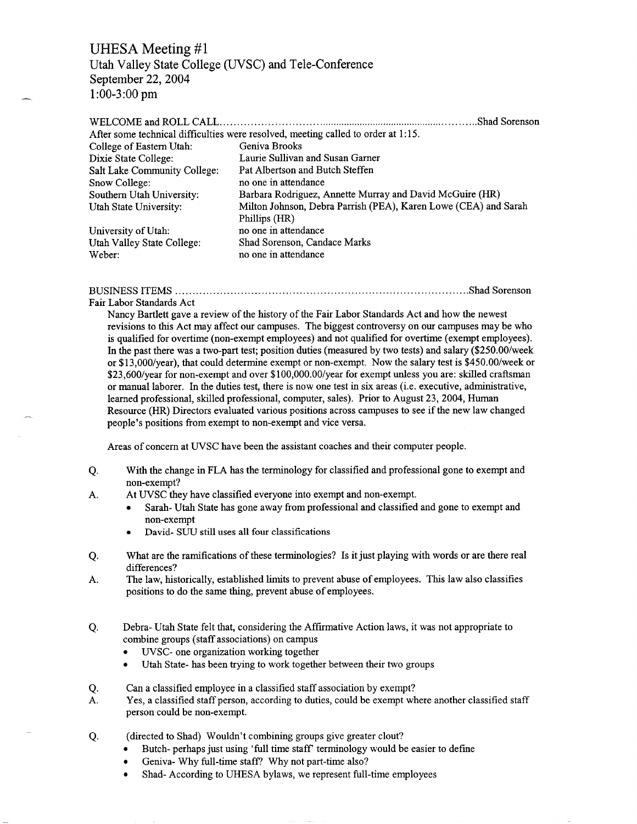# UHESA Meeting #1

Utah Valley State College (UVSC) and Tele-Conference September 22, 2004 1:00-3:00 pm

### WELCOME and ROLL CALL Shad Sorenson After some technical difficulties were resolved, meeting called to order at 1:15. College of Eastern Utah: Geniva Brooks Dixie State College: Laurie Sullivan and Susan Garner Salt Lake Community College: Pat Albertson and Butch Steffen Snow College: no one in attendance Southern Utah University: Barbara Rodriguez, Annette Murray and David McGuire (HR) Utah State University: Milton Johnson, Debra Parrish (PEA), Karen Lowe (CEA) and Sarah Phillips (HR) University of Utah: no one in attendance Utah Valley State College: Shad Sorenson, Candace Marks Weber: no one in attendance

### BUSINESS ITEMS Shad Sorenson

Fair Labor Standards Act

Nancy Bartlett gave a review of the history of the Fair Labor Standards Act and how the newest revisions to this Act may affect our campuses. The biggest controversy on our campuses may be who is qualified for overtime (non-exempt employees) and not qualified for overtime (exempt employees). In the past there was a two-part test; position duties (measured by two tests) and salary (\$250.00/week or \$13,000/year), that could determine exempt or non-exempt. Now the salary test is \$450.00/week or \$23,600/year for non-exempt and over \$100,000.00/year for exempt unless you are: skilled craftsman or manual laborer. In the duties test, there is now one test in six areas (i.e. executive, administrative, learned professional, skilled professional, computer, sales). Prior to August 23, 2004, Human Resource (HR) Directors evaluated various positions across campuses to see if the new law changed people's positions from exempt to non-exempt and vice versa.

Areas of concern at UVSC have been the assistant coaches and their computer people.

- Q. With the change in FLA has the terminology for classified and professional gone to exempt and non-exempt?
- A. At UVSC they have classified everyone into exempt and non-exempt.
	- Sarah- Utah State has gone away from professional and classified and gone to exempt and non-exempt
	- David- SUU still uses all four classifications
- Q. What are the ramifications of these terminologies? Is it just playing with words or are there real differences?
- A. The law, historically, established limits to prevent abuse of employees. This law also classifies positions to do the same thing, prevent abuse of employees.
- Q. Debra- Utah State felt that, considering the Affirmative Action laws, it was not appropriate to combine groups (staff associations) on campus
	- UVSC- one organization working together
	- Utah State- has been trying to work together between their two groups
- Q. Can a classified employee in a classified staff association by exempt?
- A. Yes, a classified staff person, according to duties, could be exempt where another classified staff person could be non-exempt.
- Q. (directed to Shad) Wouldn't combining groups give greater clout?
	- Butch- perhaps just using 'full time staff' terminology would be easier to define
	- Geniva- Why full-time staff? Why not part-time also?
	- Shad- According to UHESA bylaws, we represent full-time employees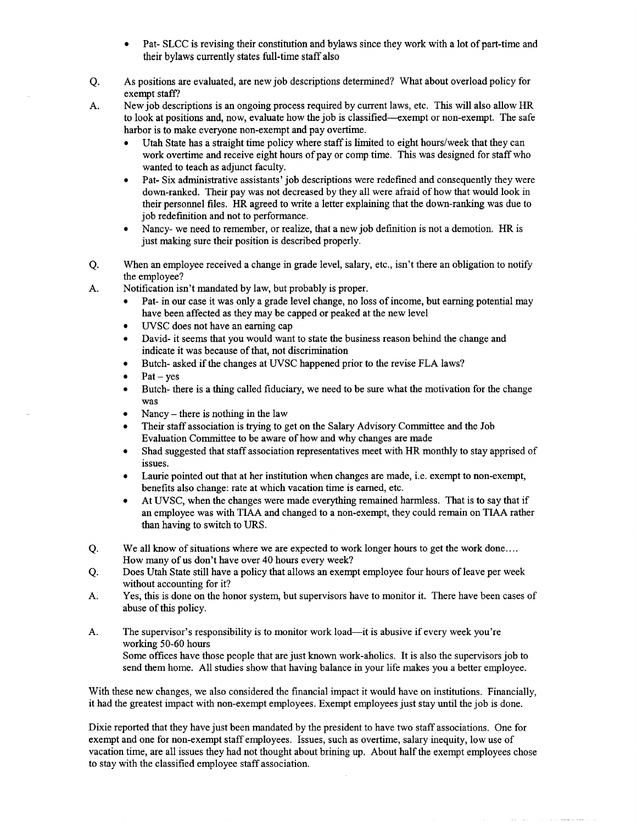- Pat- SLCC is revising their constitution and bylaws since they work with a lot of part-time and their bylaws currently states full-time staff also
- Q. As positions are evaluated, are new job descriptions determined? What about overload policy for exempt staff?
- A. New job descriptions is an ongoing process required by current laws, etc. This will also allow HR to look at positions and, now, evaluate how the job is classified—exempt or non-exempt. The safe harbor is to make everyone non-exempt and pay overtime.
	- Utah State has a straight time policy where staff is limited to eight hours/week that they can work overtime and receive eight hours of pay or comp time. This was designed for staff who wanted to teach as adjunct faculty.
	- Pat- Six administrative assistants' job descriptions were redefined and consequently they were down-ranked. Their pay was not decreased by they all were afraid of how that would look in their personnel files. HR agreed to write a letter explaining that the down-ranking was due to job redefinition and not to performance.
	- Nancy- we need to remember, or realize, that a new job definition is not a demotion. HR is just making sure their position is described properly.
- Q. When an employee received a change in grade level, salary, etc., isn't there an obligation to notify the employee?
- A. Notification isn't mandated by law, but probably is proper.
	- Pat- in our case it was only a grade level change, no loss of income, but earning potential may have been affected as they may be capped or peaked at the new level
	- UVSC does not have an earning cap
	- David- it seems that you would want to state the business reason behind the change and indicate it was because of that, not discrimination
	- Butch- asked if the changes at UVSC happened prior to the revise FLA laws?
	- $Pat ves$
	- Butch- there is a thing called fiduciary, we need to be sure what the motivation for the change was
	- Nancy there is nothing in the law
	- Their staff association is trying to get on the Salary Advisory Committee and the Job Evaluation Committee to be aware of how and why changes are made
	- Shad suggested that staff association representatives meet with HR monthly to stay apprised of issues.
	- Laurie pointed out that at her institution when changes are made, i.e. exempt to non-exempt, benefits also change: rate at which vacation time is earned, etc.
	- At UVSC, when the changes were made everything remained harmless. That is to say that if an employee was with TIAA and changed to a non-exempt, they could remain on TIAA rather than having to switch to URS.
- Q. We all know of situations where we are expected to work longer hours to get the work done.... How many of us don't have over 40 hours every week?
- Q. Does Utah State still have a policy that allows an exempt employee four hours of leave per week without accounting for it?
- A. Yes, this is done on the honor system, but supervisors have to monitor it. There have been cases of abuse of this policy.
- A. The supervisor's responsibility is to monitor work load—it is abusive if every week you're working 50-60 hours Some offices have those people that are just known work-aholics. It is also the supervisors job to send them home. All studies show that having balance in your life makes you a better employee.

With these new changes, we also considered the financial impact it would have on institutions. Financially, it had the greatest impact with non-exempt employees. Exempt employees just stay until the job is done.

Dixie reported that they have just been mandated by the president to have two staff associations. One for exempt and one for non-exempt staff employees. Issues, such as overtime, salary inequity, low use of vacation time, are all issues they had not thought about brining up. About half the exempt employees chose to stay with the classified employee staff association.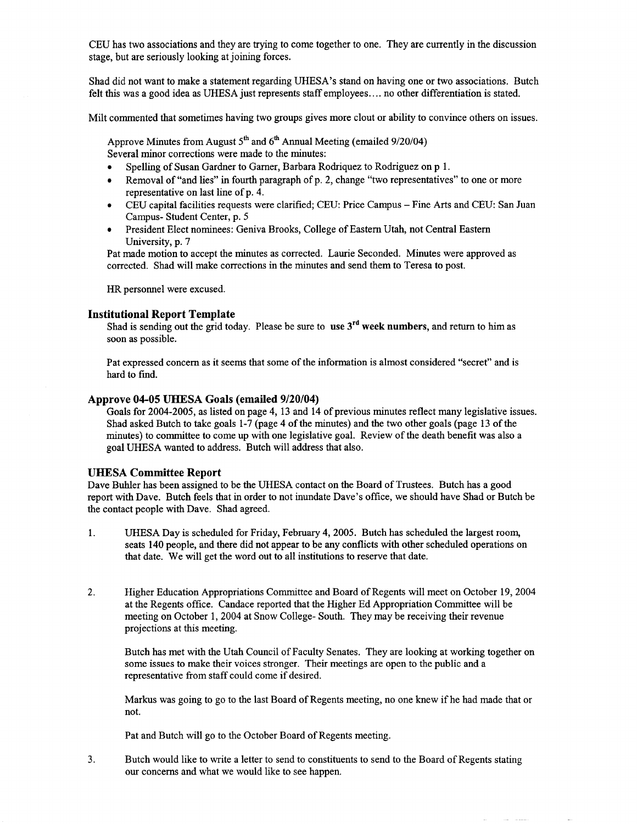CEU has two associations and they are trying to come together to one. They are currently in the discussion stage, but are seriously looking at joining forces.

Shad did not want to make a statement regarding UHESA's stand on having one or two associations. Butch felt this was a good idea as UHESA just represents staff employees.... no other differentiation is stated.

Milt commented that sometimes having two groups gives more clout or ability to convince others on issues.

Approve Minutes from August  $5<sup>th</sup>$  and  $6<sup>th</sup>$  Annual Meeting (emailed 9/20/04) Several minor corrections were made to the minutes:

- Spelling of Susan Gardner to Garner, Barbara Rodriquez to Rodriguez on p 1.
- Removal of "and lies" in fourth paragraph of p. 2, change "two representatives" to one or more representative on last line of p. 4.
- CEU capital facilities requests were clarified; CEU: Price Campus Fine Arts and CEU: San Juan Campus- Student Center, p. 5
- President Elect nominees: Geniva Brooks, College of Eastern Utah, not Central Eastern University, p. 7

Pat made motion to accept the minutes as corrected. Laurie Seconded. Minutes were approved as corrected. Shad will make corrections in the minutes and send them to Teresa to post.

HR personnel were excused.

### **Institutional Report Template**

Shad is sending out the grid today. Please be sure to **use** 3rd **week numbers,** and return to him as soon as possible.

Pat expressed concern as it seems that some of the information is almost considered "secret" and is hard to find.

#### **Approve 04-05 UHESA Goals (emailed 9/20/04)**

Goals for 2004-2005, as listed on page 4, 13 and 14 of previous minutes reflect many legislative issues. Shad asked Butch to take goals 1-7 (page 4 of the minutes) and the two other goals (page 13 of the minutes) to committee to come up with one legislative goal. Review of the death benefit was also a goal UHESA wanted to address. Butch will address that also.

### **UHESA Committee Report**

Dave Buhler has been assigned to be the UHESA contact on the Board of Trustees. Butch has a good report with Dave. Butch feels that in order to not inundate Dave's office, we should have Shad or Butch be the contact people with Dave. Shad agreed.

- 1. UHESA Day is scheduled for Friday, February 4, 2005. Butch has scheduled the largest room, seats 140 people, and there did not appear to be any conflicts with other scheduled operations on that date. We will get the word out to all institutions to reserve that date.
- 2. Higher Education Appropriations Committee and Board of Regents will meet on October 19, 2004 at the Regents office. Candace reported that the Higher Ed Appropriation Committee will be meeting on October 1, 2004 at Snow College- South. They may be receiving their revenue projections at this meeting.

Butch has met with the Utah Council of Faculty Senates. They are looking at working together on some issues to make their voices stronger. Their meetings are open to the public and a representative from staff could come if desired.

Markus was going to go to the last Board of Regents meeting, no one knew if he had made that or not.

Pat and Butch will go to the October Board of Regents meeting.

3. Butch would like to write a letter to send to constituents to send to the Board of Regents stating our concerns and what we would like to see happen.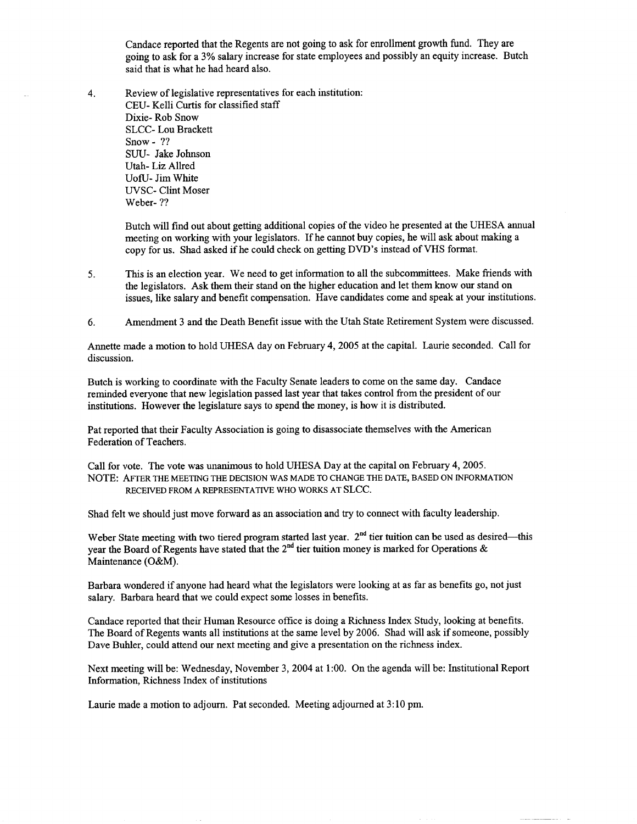Candace reported that the Regents are not going to ask for enrollment growth fund. They are going to ask for a 3% salary increase for state employees and possibly an equity increase. Butch said that is what he had heard also.

4. Review of legislative representatives for each institution: CEU- Kelli Curtis for classified staff Dixie- Rob Snow SLCC- Lou Brackett Snow- ?? SUU- Jake Johnson Utah- Liz Allred UofU-Jim White UVSC- Clint Moser Weber- ??

> Butch will find out about getting additional copies of the video he presented at the UHESA annual meeting on working with your legislators. If he cannot buy copies, he will ask about making a copy for us. Shad asked if he could check on getting DVD's instead of VHS format.

- 5. This is an election year. We need to get information to all the subcommittees. Make friends with the legislators. Ask them their stand on the higher education and let them know our stand on issues, like salary and benefit compensation. Have candidates come and speak at your institutions.
- 6. Amendment 3 and the Death Benefit issue with the Utah State Retirement System were discussed.

Annette made a motion to hold UHESA day on February 4, 2005 at the capital. Laurie seconded. Call for discussion.

Butch is working to coordinate with the Faculty Senate leaders to come on the same day. Candace reminded everyone that new legislation passed last year that takes control from the president of our institutions. However the legislature says to spend the money, is how it is distributed.

Pat reported that their Faculty Association is going to disassociate themselves with the American Federation of Teachers.

Call for vote. The vote was unanimous to hold UHESA Day at the capital on February 4, 2005. NOTE: AFTER THE MEETING THE DECISION WAS MADE TO CHANGE THE DATE, BASED ON INFORMATION RECEIVED FROM A REPRESENTATIVE WHO WORKS AT SLCC.

Shad felt we should just move forward as an association and try to connect with faculty leadership.

Weber State meeting with two tiered program started last year. 2<sup>nd</sup> tier tuition can be used as desired—this year the Board of Regents have stated that the  $2^{nd}$  tier tuition money is marked for Operations & Maintenance (O&M).

Barbara wondered if anyone had heard what the legislators were looking at as far as benefits go, not just salary. Barbara heard that we could expect some losses in benefits.

Candace reported that their Human Resource office is doing a Richness Index Study, looking at benefits. The Board of Regents wants all institutions at the same level by 2006. Shad will ask if someone, possibly Dave Buhler, could attend our next meeting and give a presentation on the richness index.

Next meeting will be: Wednesday, November 3, 2004 at 1:00. On the agenda will be: Institutional Report Information, Richness Index of institutions

Laurie made a motion to adjourn. Pat seconded. Meeting adjourned at 3:10 pm.